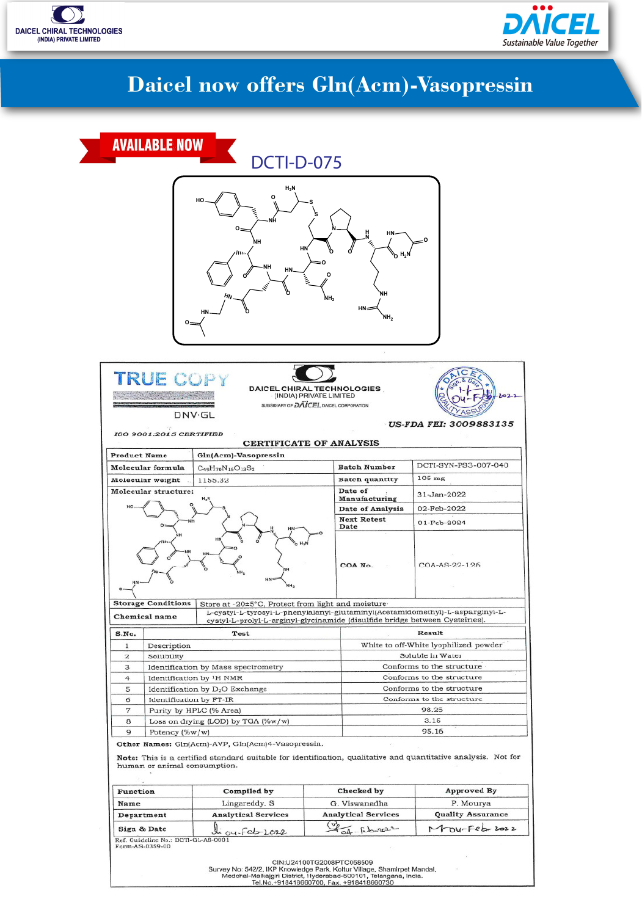



# **Daicel now offers Gln(Acm)-Vasopressin**

|                                                    | <b>AVAILABLE NOW</b>                               | <b>DCTI-D-075</b>                                                                                                                                                   |                                             |                                                      |                                       |
|----------------------------------------------------|----------------------------------------------------|---------------------------------------------------------------------------------------------------------------------------------------------------------------------|---------------------------------------------|------------------------------------------------------|---------------------------------------|
|                                                    |                                                    |                                                                                                                                                                     |                                             |                                                      |                                       |
|                                                    | Ο-                                                 | $H_2N$<br>О<br>HO<br>ი<br>HN<br>,,,,<br>ΝH<br>HN.<br>HN                                                                                                             | O<br>NH,                                    | HN-<br>H,N<br>'n.<br>NΗ<br>$HN =$<br>NH <sub>2</sub> |                                       |
|                                                    |                                                    |                                                                                                                                                                     |                                             |                                                      |                                       |
|                                                    | ISO 9001:2015 CERTIFIED                            | DAICEL CHIRAL TECHNOLOGIES<br>SUBSIDIARY OF DAVCEL DAICEL CORPORATION<br>DNV.GL<br>CERTIFICATE OF ANALYSIS                                                          |                                             |                                                      | US-FDA FEI: 3009883135                |
| <b>Product Name</b>                                |                                                    | Gln(Acm)-Vasopressin                                                                                                                                                |                                             |                                                      |                                       |
|                                                    | Molecular formula                                  | $C_{49}H_{70}N_{16}O_{13}S_2$                                                                                                                                       |                                             | <b>Batch Number</b>                                  | DCTI-SYN-PS3-007-040                  |
| Molecular weight                                   |                                                    | 1155.32                                                                                                                                                             |                                             | <b>Batch quantity</b>                                | 105 mg                                |
|                                                    | Molecular structure:                               |                                                                                                                                                                     | Manufacturing                               | Date of                                              | 31-Jan-2022                           |
|                                                    |                                                    |                                                                                                                                                                     |                                             | <b>Date of Analysis</b>                              | 02-Feb-2022                           |
|                                                    |                                                    |                                                                                                                                                                     |                                             | <b>Next Retest</b><br>Date                           | 01-Fcb-2024                           |
|                                                    | <b>EFAre</b>                                       | ëН<br><b>HN:</b><br>NH <sub>2</sub>                                                                                                                                 |                                             | COA No.                                              | COA-AS-22-126                         |
|                                                    | <b>Storage Conditions</b>                          | Store at -20±5°C, Protect from light and moisture                                                                                                                   |                                             |                                                      |                                       |
|                                                    | Chemical name                                      | L-cystyl-L-tyrosyl-L-phenylalanyl-glutaminyl(Acetamidomethyl)-L-asparginyl-L-<br>cystyl-L-prolyl-L-arginyl-glycinamide (disulfide bridge between Cysteines).        |                                             |                                                      |                                       |
| Test<br>S.No.                                      |                                                    |                                                                                                                                                                     |                                             | Result                                               |                                       |
| 1                                                  | Description                                        |                                                                                                                                                                     |                                             | White to off-White lyophilized powder                |                                       |
| $\mathbf{z}$                                       | Solubility                                         |                                                                                                                                                                     |                                             | Soluble in Water                                     |                                       |
| 3                                                  | Identification by Mass spectrometry                |                                                                                                                                                                     | Conforms to the structure                   |                                                      |                                       |
| 4                                                  | Identification by <sup>1</sup> H NMR               |                                                                                                                                                                     |                                             |                                                      | Conforms to the structure             |
| 5                                                  | Identification by D <sub>2</sub> O Exchange        |                                                                                                                                                                     |                                             |                                                      | Conforms to the structure             |
| 6<br>$\overline{7}$                                | Identification by FT-IR<br>Purity by HPLC (% Area) |                                                                                                                                                                     |                                             |                                                      | Conforms to the structure<br>98.25    |
| 8                                                  | Loss on drying (LOD) by TGA (%w/w)                 |                                                                                                                                                                     |                                             | 3.15                                                 |                                       |
| 9                                                  | Potency (%w/w)                                     |                                                                                                                                                                     |                                             | 95.16                                                |                                       |
|                                                    | human or animal consumption.                       | Other Names: Gln(Acm)-AVP, Gln(Acm)4-Vasopressin.<br>Note: This is a certified standard suitable for identification, qualitative and quantitative analysis. Not for |                                             |                                                      |                                       |
|                                                    |                                                    |                                                                                                                                                                     |                                             |                                                      |                                       |
| Function                                           |                                                    | Compiled by                                                                                                                                                         |                                             | Checked by                                           | <b>Approved By</b>                    |
| Name<br>Department                                 |                                                    | Lingareddy. S<br><b>Analytical Services</b>                                                                                                                         | G. Viswanadha<br><b>Analytical Services</b> |                                                      | P. Mourya<br><b>Quality Assurance</b> |
|                                                    |                                                    |                                                                                                                                                                     |                                             |                                                      | Mou-Feb-2022                          |
| Sign & Date<br>Ref. Guideline No.: DCTI-GL-AS-0001 |                                                    | ou-feb-1022                                                                                                                                                         | $04 - 66 - 9022$                            |                                                      |                                       |
|                                                    | Form-AS-0359-00                                    | CIN:U24100TG2008PTC058509                                                                                                                                           |                                             |                                                      |                                       |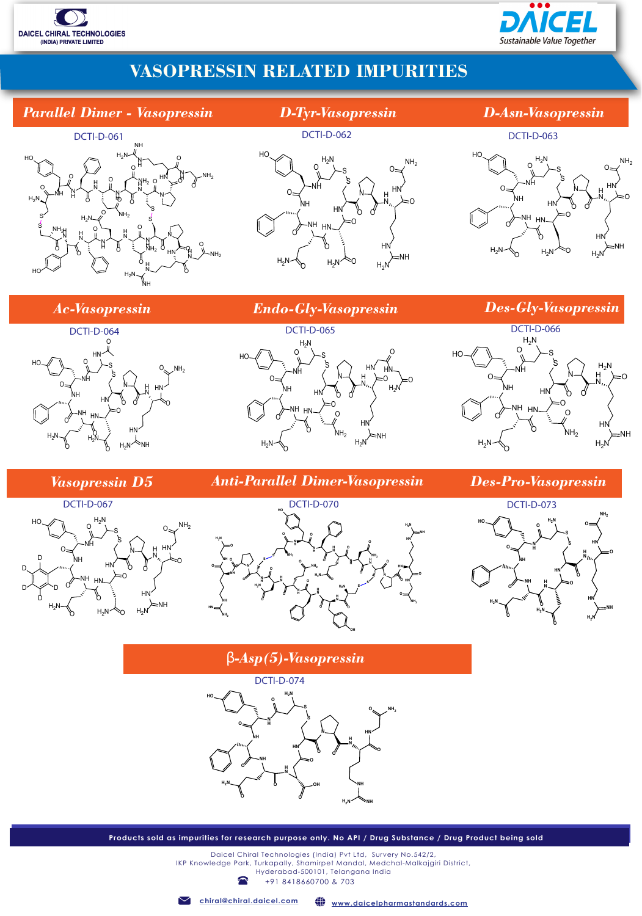



## **VASOPRESSIN RELATED IMPURITIES**

#### *Parallel Dimer - Vasopressin*



 $\mathcal{S} \setminus S$ 

 $H_2N$ 

DCTI-D-062

HN

 $H_2N$ 

S

O

O

O

H N HN

O

HN

NH

O

 $NH<sub>2</sub>$ 

 $H_2N$ 

N

#### *D-Tyr-Vasopressin D-Asn-Vasopressin*

#### DCTI-D-063



*Ac-Vasopressin Endo-Gly-Vasopressin Des-Gly-Vasopressin*

 $H_2N$ 

O

O

 $\Omega$ 

HO

NH

HN

O

NH

NH







## DCTI-D-066



#### *Vasopressin D5*



## *Anti-Parallel Dimer-Vasopressin Des-Pro-Vasopressin*





#### β*-Asp(5)-Vasopressin*



**Products sold as impurities for research purpose only. No API / Drug Substance / Drug Product being sold**

+91 8418660700 & 703 Daicel Chiral Technologies (India) Pvt Ltd, Survery No.542/2, IKP Knowledge Park, Turkapally, Shamirpet Mandal, Medchal-Malkajgiri District, Hyderabad-500101, Telangana India

**chiral@chiral.daicel.com www.daicelpharmastandards.com**